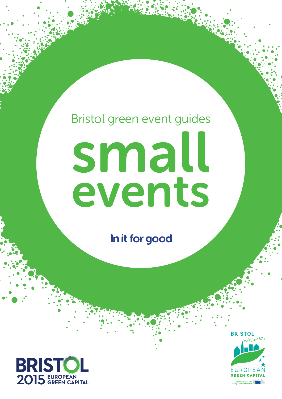# Bristol green event guides small events

In it for good



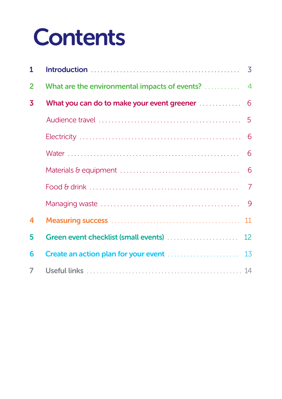## **Contents**

| $\mathbf{1}$            |                                               | $\overline{3}$  |
|-------------------------|-----------------------------------------------|-----------------|
| $\overline{2}$          | What are the environmental impacts of events? | $\overline{4}$  |
| $\overline{\mathbf{3}}$ | What you can do to make your event greener    | 6               |
|                         |                                               | 5               |
|                         |                                               |                 |
|                         |                                               | 6               |
|                         |                                               | 6               |
|                         |                                               | $\overline{7}$  |
|                         |                                               |                 |
| 4                       |                                               | 11              |
| 5                       | Green event checklist (small events)          | 12 <sup>°</sup> |
| 6                       |                                               | 13              |
| $\overline{7}$          |                                               |                 |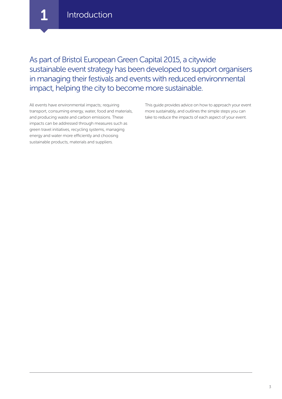**Introduction** 

As part of Bristol European Green Capital 2015, a citywide sustainable event strategy has been developed to support organisers in managing their festivals and events with reduced environmental impact, helping the city to become more sustainable.

All events have environmental impacts; requiring transport, consuming energy, water, food and materials, and producing waste and carbon emissions. These impacts can be addressed through measures such as green travel initiatives, recycling systems, managing energy and water more efficiently and choosing sustainable products, materials and suppliers.

This guide provides advice on how to approach your event more sustainably, and outlines the simple steps you can take to reduce the impacts of each aspect of your event.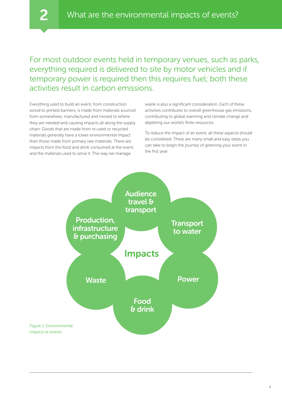For most outdoor events held in temporary venues, such as parks, everything required is delivered to site by motor vehicles and if temporary power is required then this requires fuel; both these activities result in carbon emissions.

Everything used to build an event, from construction wood to printed banners, is made from materials sourced from somewhere; manufactured and moved to where they are needed and causing impacts all along the supply chain. Goods that are made from re-used or recycled materials generally have a lower environmental impact than those made from primary raw materials. There are impacts from the food and drink consumed at the event, and the materials used to serve it. The way we manage

waste is also a significant consideration. Each of these activities contributes to overall greenhouse gas emissions, contributing to global warming and climate change and depleting our world's finite resources.

To reduce the impact of an event, all these aspects should be considered. There are many small and easy steps you can take to begin the journey of greening your event in the first year.

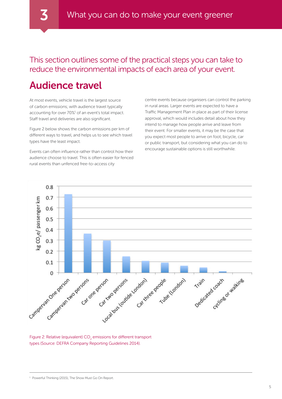This section outlines some of the practical steps you can take to reduce the environmental impacts of each area of your event.

## Audience travel

At most events, vehicle travel is the largest source of carbon emissions; with audience travel typically accounting for over 70%<sup>1</sup> of an event's total impact. Staff travel and deliveries are also significant.

Figure 2 below shows the carbon emissions per km of different ways to travel, and helps us to see which travel types have the least impact.

Events can often influence rather than control how their audience choose to travel. This is often easier for fenced rural events than unfenced free-to-access city

centre events because organisers can control the parking in rural areas. Larger events are expected to have a Traffic Management Plan in place as part of their license approval, which would includes detail about how they intend to manage how people arrive and leave from their event. For smaller events, it may be the case that you expect most people to arrive on foot, bicycle, car or public transport, but considering what you can do to encourage sustainable options is still worthwhile.



Figure 2: Relative (equivalent)  $\mathsf{CO}_2$  emissions for different transport types (Source: DEFRA Company Reporting Guidelines 2014).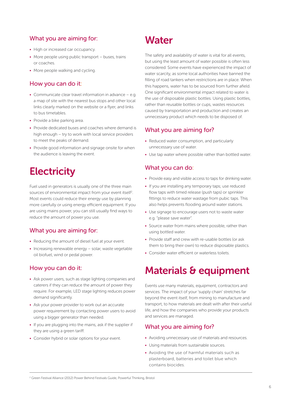#### What you are aiming for:

- High or increased car occupancy.
- More people using public transport buses, trains or coaches.
- More people walking and cycling.

#### How you can do it:

- Communicate clear travel information in advance e.g. a map of site with the nearest bus stops and other local links clearly marked on the website or a flyer, and links to bus timetables.
- Provide a bike parking area.
- Provide dedicated buses and coaches where demand is high enough – try to work with local service providers to meet the peaks of demand.
- Provide good information and signage onsite for when the audience is leaving the event.

## **Electricity**

Fuel used in generators is usually one of the three main sources of environmental impact from your event itself<sup>2</sup>. Most events could reduce their energy use by planning more carefully or using energy efficient equipment. If you are using mains power, you can still usually find ways to reduce the amount of power you use.

#### What you are aiming for:

- Reducing the amount of diesel fuel at your event.
- Increasing renewable energy solar, waste vegetable oil biofuel, wind or pedal power.

#### How you can do it:

- Ask power users, such as stage lighting companies and caterers if they can reduce the amount of power they require. For example, LED stage lighting reduces power demand significantly.
- Ask your power provider to work out an accurate power requirement by contacting power users to avoid using a bigger generator than needed.
- If you are plugging into the mains, ask if the supplier if they are using a green tariff.
- Consider hybrid or solar options for your event.

## **Water**

The safety and availability of water is vital for all events, but using the least amount of water possible is often less considered. Some events have experienced the impact of water scarcity, as some local authorities have banned the filling of road tankers when restrictions are in place. When this happens, water has to be sourced from further afield. One significant environmental impact related to water is the use of disposable plastic bottles. Using plastic bottles, rather than reusable bottles or cups, wastes resources caused by transportation and production and creates an unnecessary product which needs to be disposed of.

#### What you are aiming for?

- Reduced water consumption, and particularly unnecessary use of water.
- Use tap water where possible rather than bottled water.

#### What you can do:

- Provide easy and visible access to taps for drinking water.
- If you are installing any temporary taps; use reduced flow taps with timed release (push taps) or sprinkler fittings to reduce water wastage from pubic taps. This also helps prevents flooding around water stations.
- Use signage to encourage users not to waste water e.g. "please save water".
- Source water from mains where possible, rather than using bottled water.
- Provide staff and crew with re-usable bottles (or ask them to bring their own) to reduce disposable plastics.
- Consider water efficient or waterless toilets.

## Materials & equipment

Events use many materials, equipment, contractors and services. The impact of your 'supply chain' stretches far beyond the event itself, from mining to manufacture and transport, to how materials are dealt with after their useful life, and how the companies who provide your products and services are managed.

#### What you are aiming for?

- Avoiding unnecessary use of materials and resources.
- Using materials from sustainable sources.
- Avoiding the use of harmful materials such as plasterboard, batteries and toilet blue which contains biocides.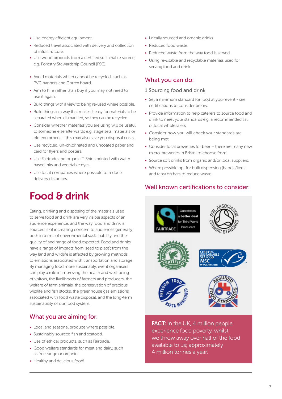- Use energy efficient equipment.
- Reduced travel associated with delivery and collection of infrastructure.
- Use wood products from a certified sustainable source, e.g. Forestry Stewardship Council (FSC).
- Avoid materials which cannot be recycled, such as PVC banners and Correx board.
- Aim to hire rather than buy if you may not need to use it again.
- Build things with a view to being re-used where possible.
- Build things in a way that makes it easy for materials to be separated when dismantled, so they can be recycled.
- Consider whether materials you are using will be useful to someone else afterwards e.g. stage sets, materials or old equipment – this may also save you disposal costs.
- Use recycled, un-chlorinated and uncoated paper and card for flyers and posters.
- Use Fairtrade and organic T-Shirts printed with water based inks and vegetable dyes.
- Use local companies where possible to reduce delivery distances.

## Food & drink

Eating, drinking and disposing of the materials used to serve food and drink are very visible aspects of an audience experience, and the way food and drink is sourced is of increasing concern to audiences generally; both in terms of environmental sustainability and the quality of and range of food expected. Food and drinks have a range of impacts from 'seed to plate'; from the way land and wildlife is affected by growing methods, to emissions associated with transportation and storage. By managing food more sustainably, event organisers can play a role in improving the health and well-being of visitors, the livelihoods of farmers and producers, the welfare of farm animals, the conservation of precious wildlife and fish stocks, the greenhouse gas emissions associated with food waste disposal, and the long-term sustainability of our food system.

#### What you are aiming for:

- Local and seasonal produce where possible.
- Sustainably sourced fish and seafood.
- Use of ethical products, such as Fairtrade.
- Good welfare standards for meat and dairy, such as free range or organic.
- Healthy and delicious food!
- Locally sourced and organic drinks.
- Reduced food waste.
- Reduced waste from the way food is served.
- Using re-usable and recyclable materials used for serving food and drink.

#### What you can do:

#### 1 Sourcing food and drink

- Set a minimum standard for food at your event see certifications to consider below.
- Provide information to help caterers to source food and drink to meet your standards e.g. a recommended list of local wholesalers.
- Consider how you will check your standards are being met.
- Consider local breweries for beer there are many new micro-breweries in Bristol to choose from!
- Source soft drinks from organic and/or local suppliers.
- Where possible opt for bulk dispensing (barrels/kegs and taps) on bars to reduce waste.

#### Well known certifications to consider:



**FACT:** In the UK, 4 million people experience food poverty, whilst we throw away over half of the food available to us; approximately 4 million tonnes a year.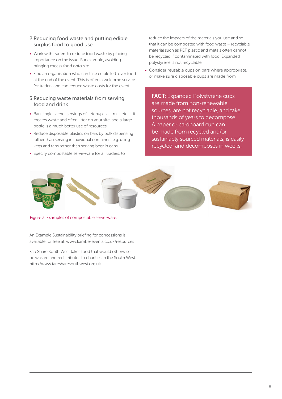#### 2 Reducing food waste and putting edible surplus food to good use

- Work with traders to reduce food waste by placing importance on the issue. For example, avoiding bringing excess food onto site.
- Find an organisation who can take edible left-over food at the end of the event. This is often a welcome service for traders and can reduce waste costs for the event.

#### 3 Reducing waste materials from serving food and drink

- Ban single sachet servings of ketchup, salt, milk etc. it creates waste and often litter on your site, and a large bottle is a much better use of resources.
- Reduce disposable plastics on bars by bulk dispensing rather than serving in individual containers e.g. using kegs and taps rather than serving beer in cans.
- Specify compostable serve-ware for all traders, to

reduce the impacts of the materials you use and so that it can be composted with food waste – recyclable material such as PET plastic and metals often cannot be recycled if contaminated with food. Expanded polystyrene is not recyclable!

• Consider reusable cups on bars where appropriate, or make sure disposable cups are made from

**FACT:** Expanded Polystyrene cups are made from non-renewable sources, are not recyclable, and take thousands of years to decompose. A paper or cardboard cup can be made from recycled and/or sustainably sourced materials, is easily recycled, and decomposes in weeks.



Figure 3: Examples of compostable serve-ware.

An Example Sustainability briefing for concessions is available for free at: <www.kambe-events.co.uk/resources>

FareShare South West takes food that would otherwise be wasted and redistributes to charities in the South West. <http://www.faresharesouthwest.org.uk>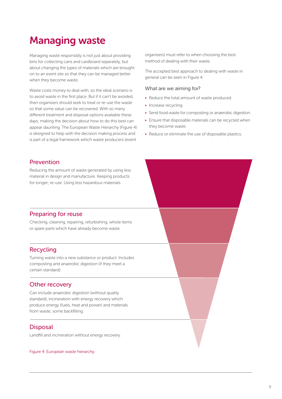## Managing waste

Managing waste responsibly is not just about providing bins for collecting cans and cardboard separately, but about changing the types of materials which are brought on to an event site so that they can be managed better when they become waste.

Waste costs money to deal with, so the ideal scenario is to avoid waste in the first place. But if it can't be avoided, then organisers should seek to treat or re-use the waste so that some value can be recovered. With so many different treatment and disposal options available these days; making the decision about how to do this best can appear daunting. The European Waste Hierarchy (Figure 4) is designed to help with the decision making process and is part of a legal framework which waste producers (event

organisers) must refer to when choosing the best method of dealing with their waste.

The accepted best approach to dealing with waste in general can be seen in Figure 4.

#### What are we aiming for?

- Reduce the total amount of waste produced.
- Increase recycling.
- Send food waste for composting or anaerobic digestion.
- Ensure that disposable materials can be recycled when they become waste.
- Reduce or eliminate the use of disposable plastics.

#### Prevention

Reducing the amount of waste generated by using less material in design and manufacture. Keeping products for longer; re-use. Using less hazardous materials.

#### Preparing for reuse

Checking, cleaning, repairing, refurbishing, whole items or spare parts which have already become waste.

#### Recycling

Turning waste into a new substance or product. Includes composting and anaerobic digestion (if they meet a certain standard).

#### Other recovery

Can include anaerobic digestion (without quality standard), incineration with energy recovery which produce energy (fuels, heat and power) and materials from waste; some backfilling.

#### **Disposal**

Landfill and incineration without energy recovery.

Figure 4: European waste hierarchy.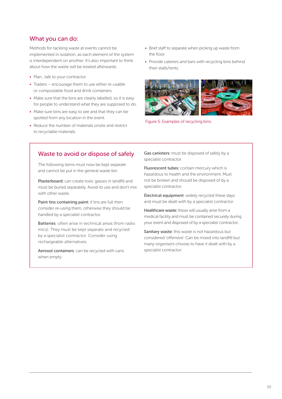#### What you can do:

Methods for tackling waste at events cannot be implemented in isolation, as each element of the system is interdependent on another. It's also important to think about how the waste will be treated afterwards.

- Plan...talk to your contractor.
- Traders encourage them to use either re-usable or compostable food and drink containers.
- Make sure that the bins are clearly labelled, so it is easy for people to understand what they are supposed to do.
- Make sure bins are easy to see and that they can be spotted from any location in the event.
- Reduce the number of materials onsite and restrict to recyclable materials.
- Brief staff to separate when picking up waste from the floor.
- Provide caterers and bars with recycling bins behind their stalls/tents.



Figure 5: Examples of recycling bins.

#### Waste to avoid or dispose of safely

The following items must now be kept separate and cannot be put in the general waste bin.

Plasterboard: can create toxic gasses in landfill and must be buried separately. Avoid its use and don't mix with other waste.

Paint tins containing paint: if tins are full then consider re-using them, otherwise they should be handled by a specialist contractor.

Batteries: often arise in technical areas (from radio mics). They must be kept separate and recycled by a specialist contractor. Consider using rechargeable alternatives.

Aerosol containers: can be recycled with cans when empty.

Gas canisters: must be disposed of safely by a specialist contractor.

Fluorescent tubes: contain mercury which is hazardous to health and the environment. Must not be broken and should be disposed of by a specialist contractor.

Electrical equipment: widely recycled these days and must be dealt with by a specialist contractor.

Healthcare waste: these will usually arise from a medical facility and must be contained securely during your event and disposed of by a specialist contractor.

Sanitary waste: this waste is not hazardous but considered 'offensive'. Can be mixed into landfill but many organisers choose to have it dealt with by a specialist contractor.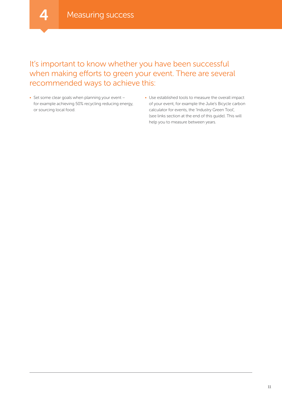## It's important to know whether you have been successful when making efforts to green your event. There are several recommended ways to achieve this:

- Set some clear goals when planning your event for example achieving 50% recycling reducing energy, or sourcing local food.
- Use established tools to measure the overall impact of your event, for example the Julie's Bicycle carbon calculator for events, the 'Industry Green Tool', (see links section at the end of this guide). This will help you to measure between years.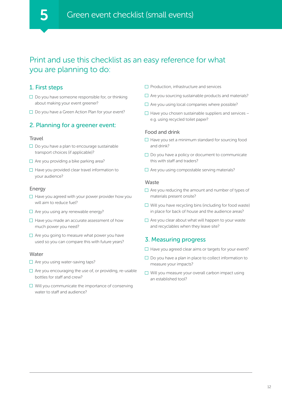## Print and use this checklist as an easy reference for what you are planning to do:

#### 1. First steps

- $\square$  Do you have someone responsible for, or thinking about making your event greener?
- $\square$  Do you have a Green Action Plan for your event?

#### 2. Planning for a greener event:

#### **Travel**

- $\square$  Do you have a plan to encourage sustainable transport choices (if applicable)?
- $\Box$  Are you providing a bike parking area?
- $\Box$  Have you provided clear travel information to your audience?

#### **Energy**

- $\Box$  Have you agreed with your power provider how you will aim to reduce fuel?
- $\Box$  Are you using any renewable energy?
- $\Box$  Have you made an accurate assessment of how much power you need?
- $\Box$  Are you going to measure what power you have used so you can compare this with future years?

#### Water

- $\Box$  Are you using water-saving taps?
- $\Box$  Are you encouraging the use of, or providing, re-usable bottles for staff and crew?
- $\Box$  Will you communicate the importance of conserving water to staff and audience?
- $\Box$  Production, infrastructure and services
- $\Box$  Are you sourcing sustainable products and materials?
- $\Box$  Are you using local companies where possible?
- $\Box$  Have you chosen sustainable suppliers and services e.g. using recycled toilet paper?

#### Food and drink

- $\Box$  Have you set a minimum standard for sourcing food and drink?
- $\Box$  Do you have a policy or document to communicate this with staff and traders?
- $\Box$  Are you using compostable serving materials?

#### Waste

- $\Box$  Are you reducing the amount and number of types of materials present onsite?
- $\Box$  Will you have recycling bins (including for food waste) in place for back of house and the audience areas?
- $\Box$  Are you clear about what will happen to your waste and recyclables when they leave site?

#### 3. Measuring progress

- $\Box$  Have you agreed clear aims or targets for your event?
- $\Box$  Do you have a plan in place to collect information to measure your impacts?
- $\Box$  Will you measure your overall carbon impact using an established tool?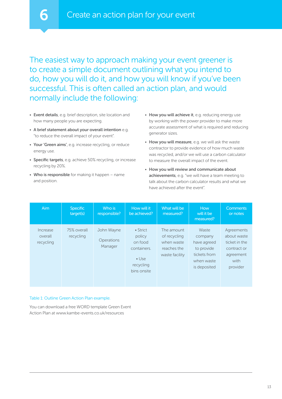The easiest way to approach making your event greener is to create a simple document outlining what you intend to do, how you will do it, and how you will know if you've been successful. This is often called an action plan, and would normally include the following:

- Event details, e.g. brief description, site location and how many people you are expecting.
- A brief statement about your overall intention e.g. "to reduce the overall impact of your event".
- Your 'Green aims', e.g. increase recycling, or reduce energy use.
- Specific targets, e.g. achieve 50% recycling, or increase recycling by 20%.
- Who is responsible for making it happen name and position.
- How you will achieve it, e.g. reducing energy use by working with the power provider to make more accurate assessment of what is required and reducing generator sizes.
- How you will measure, e.g. we will ask the waste contractor to provide evidence of how much waste was recycled, and/or we will use a carbon calculator to measure the overall impact of the event.
- How you will review and communicate about achievements, e.g. "we will have a team meeting to talk about the carbon calculator results and what we have achieved after the event".

| Aim                              | <b>Specific</b><br>target(s) | Who is<br>responsible?                     | How will it<br>be achieved?                                                               | What will be<br>measured?                                                 | How<br>will it be<br>measured?                                                              | <b>Comments</b><br>or notes                                                                |
|----------------------------------|------------------------------|--------------------------------------------|-------------------------------------------------------------------------------------------|---------------------------------------------------------------------------|---------------------------------------------------------------------------------------------|--------------------------------------------------------------------------------------------|
| Increase<br>overall<br>recycling | 75% overall<br>recycling     | John Wayne<br><b>Operations</b><br>Manager | • Strict<br>policy<br>on food<br>containers.<br>$\bullet$ Use<br>recycling<br>bins onsite | The amount<br>of recycling<br>when waste<br>reaches the<br>waste facility | Waste<br>company<br>have agreed<br>to provide<br>tickets from<br>when waste<br>is deposited | Agreements<br>about waste<br>ticket in the<br>contract or<br>agreement<br>with<br>provider |

#### Table 1: Outline Green Action Plan example.

You can download a free WORD template Green Event Action Plan at<www.kambe-events.co.uk/resources>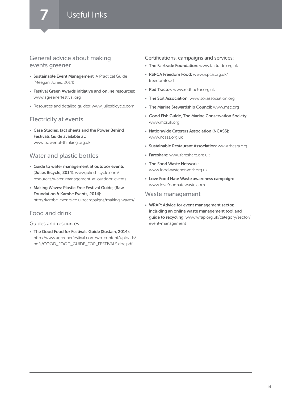#### General advice about making events greener

- Sustainable Event Management: A Practical Guide (Meegan Jones, 2014)
- Festival Green Awards initiative and online resources: <www.agreenerfestival.org>
- Resources and detailed guides: <www.juliesbicycle.com>

#### Electricity at events

• Case Studies, fact sheets and the Power Behind Festivals Guide available at: [www.powerful-thinking.org.uk](http://www.powerful-thinking.org.uk)

#### Water and plastic bottles

- Guide to water management at outdoor events (Julies Bicycle, 2014): [www.juliesbicycle.com/](www.juliesbicycle.com/resources/water-management-at-outdoor-events) [resources/water-management-at-outdoor-events](www.juliesbicycle.com/resources/water-management-at-outdoor-events)
- Making Waves: Plastic Free Festival Guide, (Raw Foundation & Kambe Events, 2014): [http://kambe-events.co.uk/campaigns/making-](http://kambe-events.co.uk/campaigns/making-waves/)waves/

#### Food and drink

#### Guides and resources

• The Good Food for Festivals Guide (Sustain, 2014): [http://www.agreenerfestival.com/wp-content/uploads/](http://www.agreenerfestival.com/wp-content/uploads/pdfs/GOOD_FOOD_GUIDE_FOR_FESTIVALS.doc.pdf) [pdfs/GOOD\\_FOOD\\_GUIDE\\_FOR\\_FESTIVALS.doc.pdf](http://www.agreenerfestival.com/wp-content/uploads/pdfs/GOOD_FOOD_GUIDE_FOR_FESTIVALS.doc.pdf)

#### Certifications, campaigns and services:

- The Fairtrade Foundation: <www.fairtrade.org.uk>
- RSPCA Freedom Food: [www.rspca.org.uk/](www.rspca.org.uk/freedomfood) [freedomfood](www.rspca.org.uk/freedomfood)
- Red Tractor: <www.redtractor.org.uk>
- The Soil Association:<www.soilassociation.org>
- The Marine Stewardship Council:<www.msc.org>
- Good Fish Guide, The Marine Conservation Society: <www.mcsuk.org>
- Nationwide Caterers Association (NCASS): <www.ncass.org.uk>
- Sustainable Restaurant Association:<www.thesra.org>
- Fareshare: [www.fareshare.org.uk](www.faresharesouthwest.org.uk)
- The Food Waste Network: <www.foodwastenetwork.org.uk>
- Love Food Hate Waste awareness campaign: <www.lovefoodhatewaste.com>

#### Waste management

• WRAP: Advice for event management sector, including an online waste management tool and guide to recycling: [www.wrap.org.uk/category/sector/](www.wrap.org.uk/category/sector/event-management) [event-management](www.wrap.org.uk/category/sector/event-management)